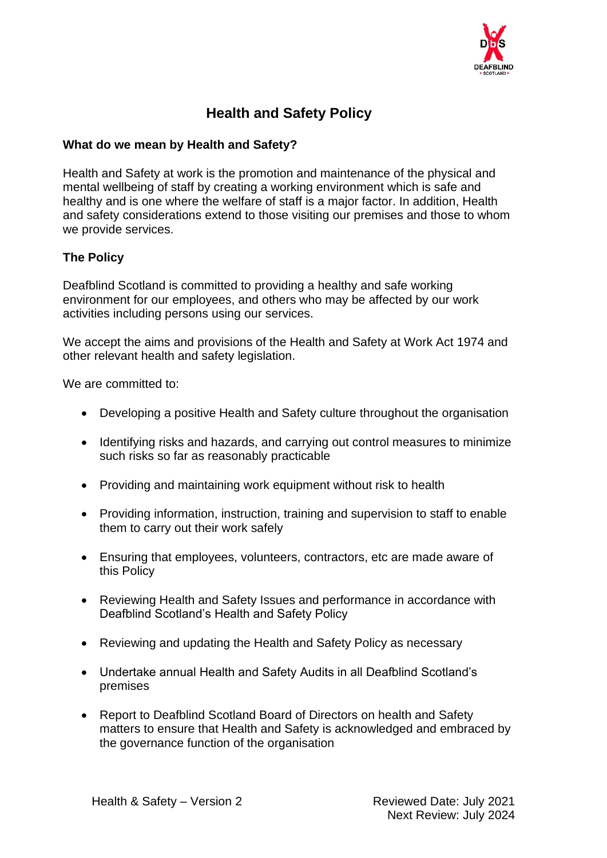

### **Health and Safety Policy**

#### **What do we mean by Health and Safety?**

Health and Safety at work is the promotion and maintenance of the physical and mental wellbeing of staff by creating a working environment which is safe and healthy and is one where the welfare of staff is a major factor. In addition, Health and safety considerations extend to those visiting our premises and those to whom we provide services.

#### **The Policy**

Deafblind Scotland is committed to providing a healthy and safe working environment for our employees, and others who may be affected by our work activities including persons using our services.

We accept the aims and provisions of the Health and Safety at Work Act 1974 and other relevant health and safety legislation.

We are committed to:

- Developing a positive Health and Safety culture throughout the organisation
- Identifying risks and hazards, and carrying out control measures to minimize such risks so far as reasonably practicable
- Providing and maintaining work equipment without risk to health
- Providing information, instruction, training and supervision to staff to enable them to carry out their work safely
- Ensuring that employees, volunteers, contractors, etc are made aware of this Policy
- Reviewing Health and Safety Issues and performance in accordance with Deafblind Scotland's Health and Safety Policy
- Reviewing and updating the Health and Safety Policy as necessary
- Undertake annual Health and Safety Audits in all Deafblind Scotland's premises
- Report to Deafblind Scotland Board of Directors on health and Safety matters to ensure that Health and Safety is acknowledged and embraced by the governance function of the organisation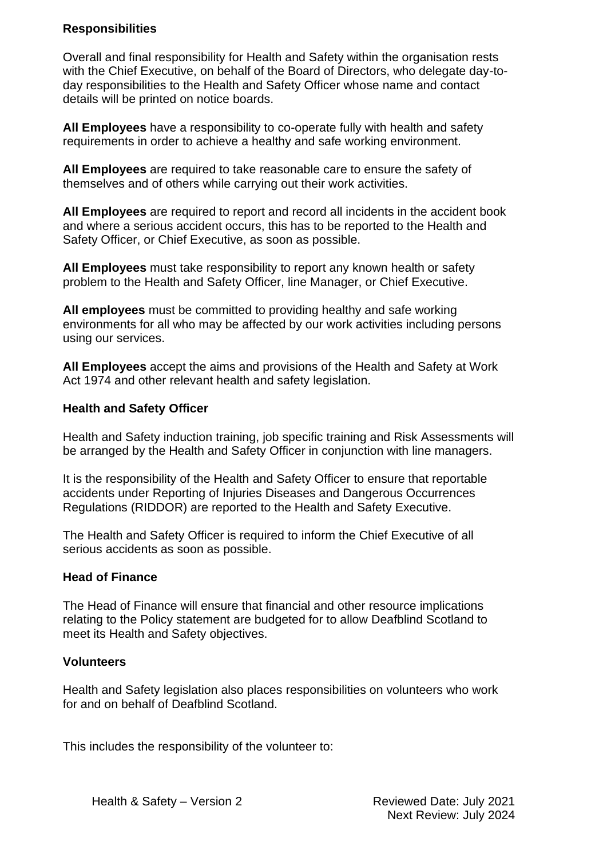#### **Responsibilities**

Overall and final responsibility for Health and Safety within the organisation rests with the Chief Executive, on behalf of the Board of Directors, who delegate day-today responsibilities to the Health and Safety Officer whose name and contact details will be printed on notice boards.

**All Employees** have a responsibility to co-operate fully with health and safety requirements in order to achieve a healthy and safe working environment.

**All Employees** are required to take reasonable care to ensure the safety of themselves and of others while carrying out their work activities.

**All Employees** are required to report and record all incidents in the accident book and where a serious accident occurs, this has to be reported to the Health and Safety Officer, or Chief Executive, as soon as possible.

**All Employees** must take responsibility to report any known health or safety problem to the Health and Safety Officer, line Manager, or Chief Executive.

**All employees** must be committed to providing healthy and safe working environments for all who may be affected by our work activities including persons using our services.

**All Employees** accept the aims and provisions of the Health and Safety at Work Act 1974 and other relevant health and safety legislation.

#### **Health and Safety Officer**

Health and Safety induction training, job specific training and Risk Assessments will be arranged by the Health and Safety Officer in conjunction with line managers.

It is the responsibility of the Health and Safety Officer to ensure that reportable accidents under Reporting of Injuries Diseases and Dangerous Occurrences Regulations (RIDDOR) are reported to the Health and Safety Executive.

The Health and Safety Officer is required to inform the Chief Executive of all serious accidents as soon as possible.

#### **Head of Finance**

The Head of Finance will ensure that financial and other resource implications relating to the Policy statement are budgeted for to allow Deafblind Scotland to meet its Health and Safety objectives.

#### **Volunteers**

Health and Safety legislation also places responsibilities on volunteers who work for and on behalf of Deafblind Scotland.

This includes the responsibility of the volunteer to: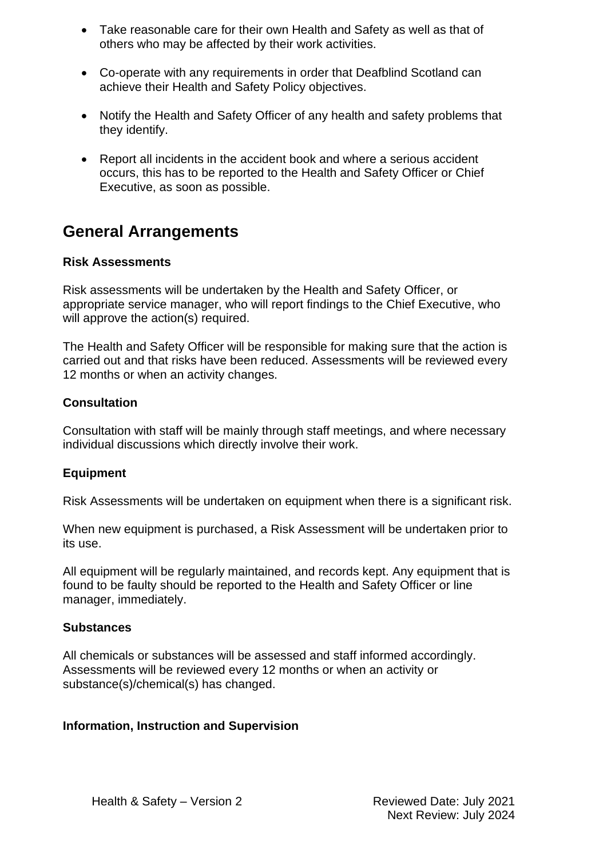- Take reasonable care for their own Health and Safety as well as that of others who may be affected by their work activities.
- Co-operate with any requirements in order that Deafblind Scotland can achieve their Health and Safety Policy objectives.
- Notify the Health and Safety Officer of any health and safety problems that they identify.
- Report all incidents in the accident book and where a serious accident occurs, this has to be reported to the Health and Safety Officer or Chief Executive, as soon as possible.

## **General Arrangements**

#### **Risk Assessments**

Risk assessments will be undertaken by the Health and Safety Officer, or appropriate service manager, who will report findings to the Chief Executive, who will approve the action(s) required.

The Health and Safety Officer will be responsible for making sure that the action is carried out and that risks have been reduced. Assessments will be reviewed every 12 months or when an activity changes.

#### **Consultation**

Consultation with staff will be mainly through staff meetings, and where necessary individual discussions which directly involve their work.

#### **Equipment**

Risk Assessments will be undertaken on equipment when there is a significant risk.

When new equipment is purchased, a Risk Assessment will be undertaken prior to its use.

All equipment will be regularly maintained, and records kept. Any equipment that is found to be faulty should be reported to the Health and Safety Officer or line manager, immediately.

#### **Substances**

All chemicals or substances will be assessed and staff informed accordingly. Assessments will be reviewed every 12 months or when an activity or substance(s)/chemical(s) has changed.

#### **Information, Instruction and Supervision**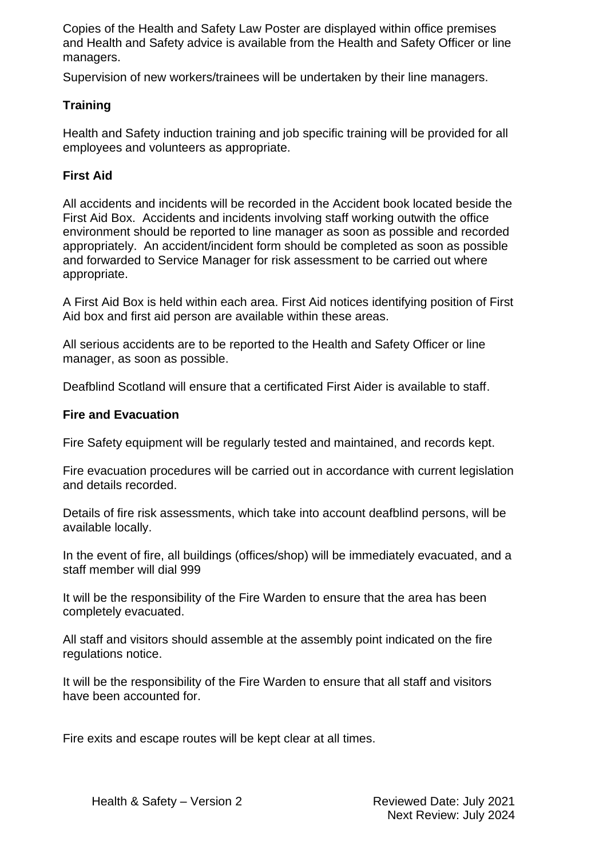Copies of the Health and Safety Law Poster are displayed within office premises and Health and Safety advice is available from the Health and Safety Officer or line managers.

Supervision of new workers/trainees will be undertaken by their line managers.

#### **Training**

Health and Safety induction training and job specific training will be provided for all employees and volunteers as appropriate.

#### **First Aid**

All accidents and incidents will be recorded in the Accident book located beside the First Aid Box. Accidents and incidents involving staff working outwith the office environment should be reported to line manager as soon as possible and recorded appropriately. An accident/incident form should be completed as soon as possible and forwarded to Service Manager for risk assessment to be carried out where appropriate.

A First Aid Box is held within each area. First Aid notices identifying position of First Aid box and first aid person are available within these areas.

All serious accidents are to be reported to the Health and Safety Officer or line manager, as soon as possible.

Deafblind Scotland will ensure that a certificated First Aider is available to staff.

#### **Fire and Evacuation**

Fire Safety equipment will be regularly tested and maintained, and records kept.

Fire evacuation procedures will be carried out in accordance with current legislation and details recorded.

Details of fire risk assessments, which take into account deafblind persons, will be available locally.

In the event of fire, all buildings (offices/shop) will be immediately evacuated, and a staff member will dial 999

It will be the responsibility of the Fire Warden to ensure that the area has been completely evacuated.

All staff and visitors should assemble at the assembly point indicated on the fire regulations notice.

It will be the responsibility of the Fire Warden to ensure that all staff and visitors have been accounted for.

Fire exits and escape routes will be kept clear at all times.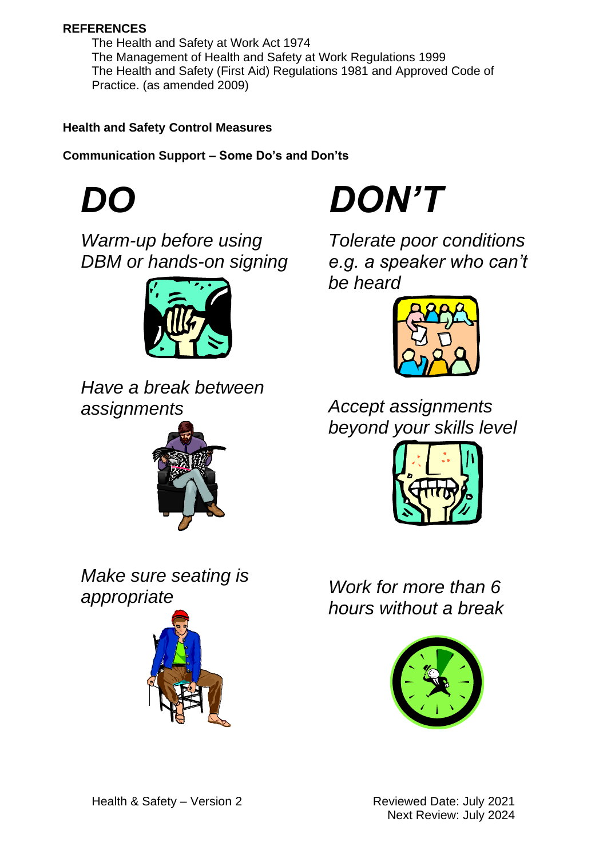#### **REFERENCES**

The Health and Safety at Work Act 1974 The Management of Health and Safety at Work Regulations 1999 The Health and Safety (First Aid) Regulations 1981 and Approved Code of Practice. (as amended 2009)

#### **Health and Safety Control Measures**

**Communication Support – Some Do's and Don'ts**



*Warm-up before using DBM or hands-on signing*



*Have a break between assignments*



*Make sure seating is appropriate*





*Tolerate poor conditions e.g. a speaker who can't be heard*



*Accept assignments beyond your skills level*



*Work for more than 6 hours without a break*

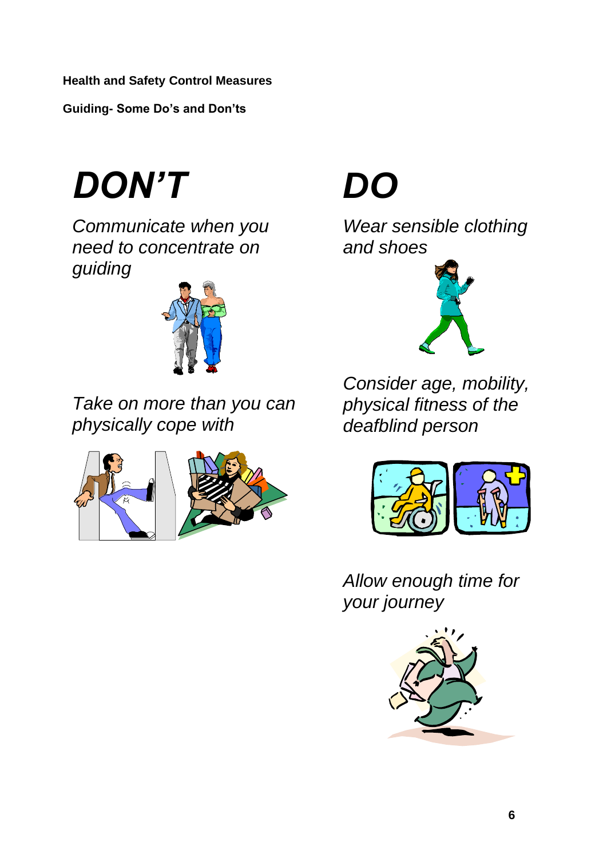**Guiding- Some Do's and Don'ts**

*DON'T*

*Communicate when you need to concentrate on guiding*



*Take on more than you can physically cope with*



# *DO*

*Wear sensible clothing and shoes*



*Consider age, mobility, physical fitness of the deafblind person*



*Allow enough time for your journey*

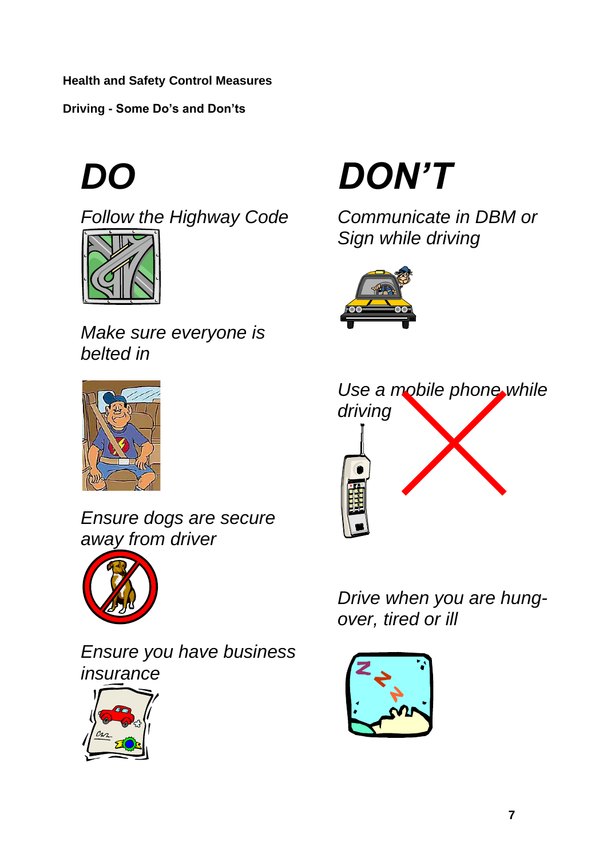**Driving - Some Do's and Don'ts**



*Follow the Highway Code*



*Make sure everyone is belted in*



*Ensure dogs are secure away from driver*



*Ensure you have business insurance*





*Communicate in DBM or Sign while driving*





*Drive when you are hungover, tired or ill*

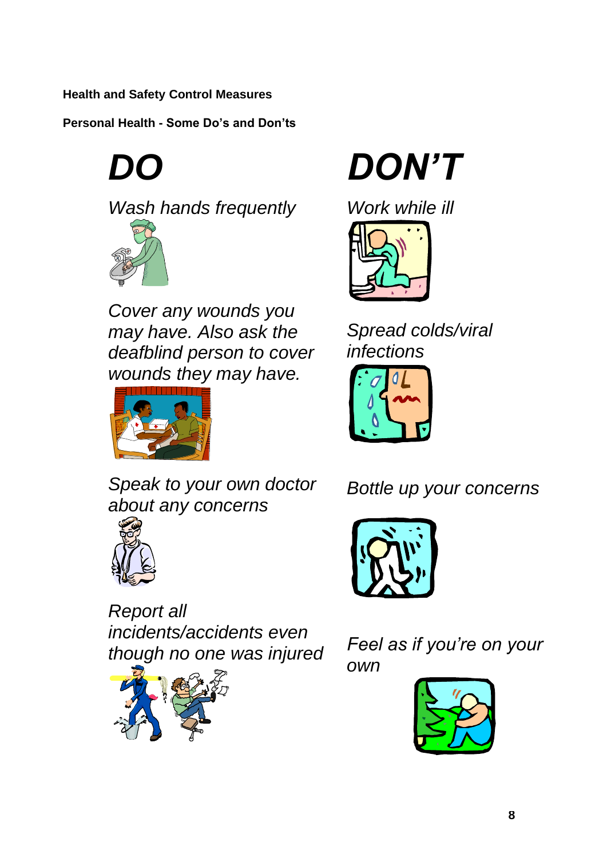**Personal Health - Some Do's and Don'ts**

*DO*





*Cover any wounds you may have. Also ask the deafblind person to cover wounds they may have.*



*DON'T*

*Work while ill*



*Spread colds/viral infections*



*Speak to your own doctor about any concerns*



*Report all incidents/accidents even though no one was injured*



*Bottle up your concerns*



*Feel as if you're on your own*

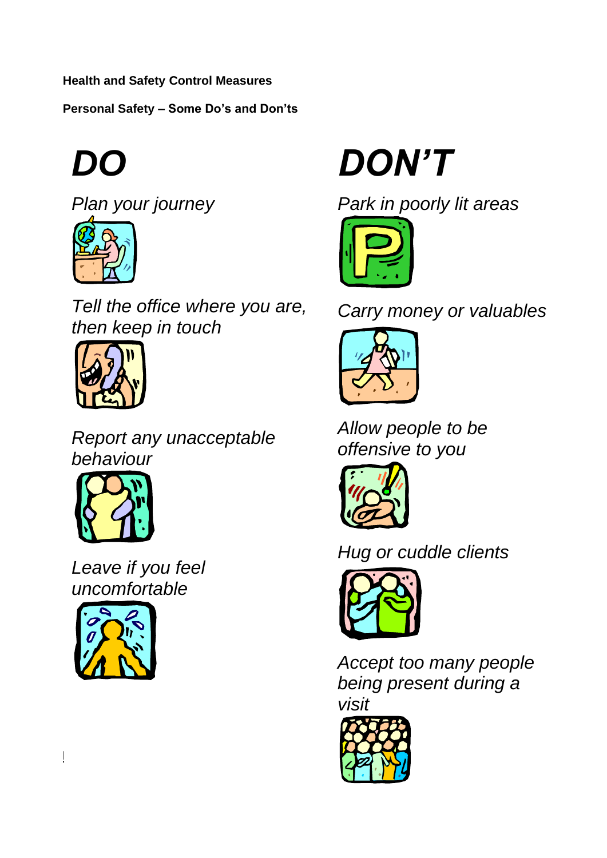**Personal Safety – Some Do's and Don'ts**



*Plan your journey*



*Tell the office where you are, then keep in touch*



*Report any unacceptable behaviour*



*Leave if you feel uncomfortable*



**Deafblind Scotland**

*DON'T*





*Carry money or valuables*



*Allow people to be offensive to you*



# *Hug or cuddle clients*



*Accept too many people being present during a visit*